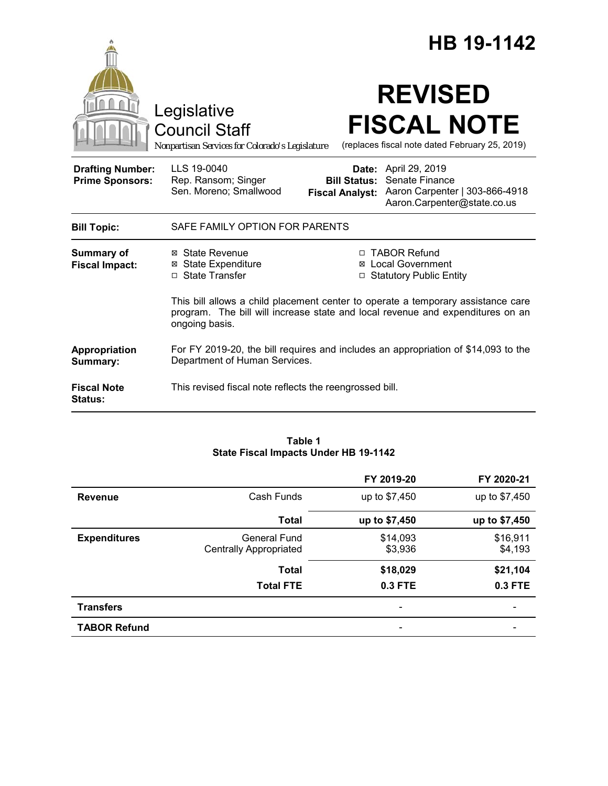|                                                   | Legislative<br><b>Council Staff</b><br>Nonpartisan Services for Colorado's Legislature                                                                                               |                                               | HB 19-1142<br><b>REVISED</b><br><b>FISCAL NOTE</b><br>(replaces fiscal note dated February 25, 2019)           |
|---------------------------------------------------|--------------------------------------------------------------------------------------------------------------------------------------------------------------------------------------|-----------------------------------------------|----------------------------------------------------------------------------------------------------------------|
| <b>Drafting Number:</b><br><b>Prime Sponsors:</b> | LLS 19-0040<br>Rep. Ransom; Singer<br>Sen. Moreno; Smallwood                                                                                                                         | <b>Bill Status:</b><br><b>Fiscal Analyst:</b> | <b>Date:</b> April 29, 2019<br>Senate Finance<br>Aaron Carpenter   303-866-4918<br>Aaron.Carpenter@state.co.us |
| <b>Bill Topic:</b>                                | SAFE FAMILY OPTION FOR PARENTS                                                                                                                                                       |                                               |                                                                                                                |
| <b>Summary of</b><br><b>Fiscal Impact:</b>        | ⊠ State Revenue<br>□ TABOR Refund<br><b>⊠</b> State Expenditure<br><b>Local Government</b><br>□ State Transfer<br><b>Statutory Public Entity</b><br>□                                |                                               |                                                                                                                |
|                                                   | This bill allows a child placement center to operate a temporary assistance care<br>program. The bill will increase state and local revenue and expenditures on an<br>ongoing basis. |                                               |                                                                                                                |
| Appropriation<br>Summary:                         | For FY 2019-20, the bill requires and includes an appropriation of \$14,093 to the<br>Department of Human Services.                                                                  |                                               |                                                                                                                |
| <b>Fiscal Note</b><br><b>Status:</b>              | This revised fiscal note reflects the reengrossed bill.                                                                                                                              |                                               |                                                                                                                |

#### **Table 1 State Fiscal Impacts Under HB 19-1142**

|                     |                                               | FY 2019-20               | FY 2020-21          |
|---------------------|-----------------------------------------------|--------------------------|---------------------|
| <b>Revenue</b>      | Cash Funds                                    | up to \$7,450            | up to \$7,450       |
|                     | <b>Total</b>                                  | up to \$7,450            | up to \$7,450       |
| <b>Expenditures</b> | General Fund<br><b>Centrally Appropriated</b> | \$14,093<br>\$3,936      | \$16,911<br>\$4,193 |
|                     | <b>Total</b>                                  | \$18,029                 | \$21,104            |
|                     | <b>Total FTE</b>                              | 0.3 FTE                  | 0.3 FTE             |
| <b>Transfers</b>    |                                               | $\overline{\phantom{0}}$ |                     |
| <b>TABOR Refund</b> |                                               | $\overline{\phantom{0}}$ |                     |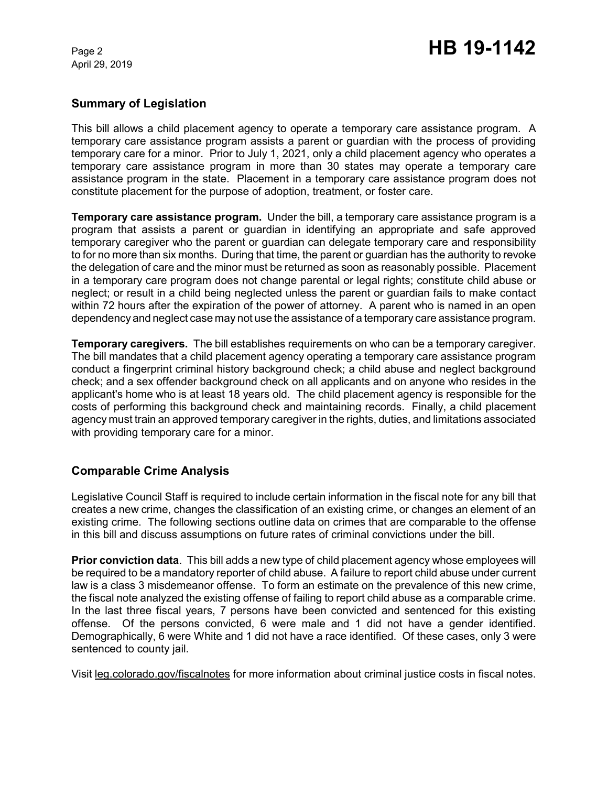# **Summary of Legislation**

This bill allows a child placement agency to operate a temporary care assistance program. A temporary care assistance program assists a parent or guardian with the process of providing temporary care for a minor. Prior to July 1, 2021, only a child placement agency who operates a temporary care assistance program in more than 30 states may operate a temporary care assistance program in the state. Placement in a temporary care assistance program does not constitute placement for the purpose of adoption, treatment, or foster care.

**Temporary care assistance program.** Under the bill, a temporary care assistance program is a program that assists a parent or guardian in identifying an appropriate and safe approved temporary caregiver who the parent or guardian can delegate temporary care and responsibility to for no more than six months. During that time, the parent or guardian has the authority to revoke the delegation of care and the minor must be returned as soon as reasonably possible. Placement in a temporary care program does not change parental or legal rights; constitute child abuse or neglect; or result in a child being neglected unless the parent or guardian fails to make contact within 72 hours after the expiration of the power of attorney. A parent who is named in an open dependency and neglect case may not use the assistance of a temporary care assistance program.

**Temporary caregivers.** The bill establishes requirements on who can be a temporary caregiver. The bill mandates that a child placement agency operating a temporary care assistance program conduct a fingerprint criminal history background check; a child abuse and neglect background check; and a sex offender background check on all applicants and on anyone who resides in the applicant's home who is at least 18 years old. The child placement agency is responsible for the costs of performing this background check and maintaining records. Finally, a child placement agency must train an approved temporary caregiver in the rights, duties, and limitations associated with providing temporary care for a minor.

# **Comparable Crime Analysis**

Legislative Council Staff is required to include certain information in the fiscal note for any bill that creates a new crime, changes the classification of an existing crime, or changes an element of an existing crime. The following sections outline data on crimes that are comparable to the offense in this bill and discuss assumptions on future rates of criminal convictions under the bill.

**Prior conviction data**. This bill adds a new type of child placement agency whose employees will be required to be a mandatory reporter of child abuse. A failure to report child abuse under current law is a class 3 misdemeanor offense. To form an estimate on the prevalence of this new crime, the fiscal note analyzed the existing offense of failing to report child abuse as a comparable crime. In the last three fiscal years, 7 persons have been convicted and sentenced for this existing offense. Of the persons convicted, 6 were male and 1 did not have a gender identified. Demographically, 6 were White and 1 did not have a race identified. Of these cases, only 3 were sentenced to county jail.

Visit leg.colorado.gov/fiscalnotes for more information about criminal justice costs in fiscal notes.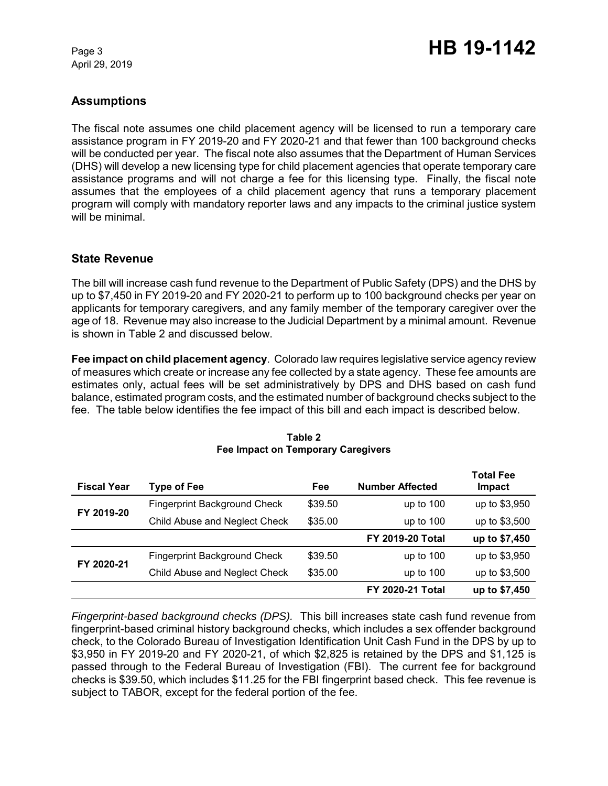# **Assumptions**

The fiscal note assumes one child placement agency will be licensed to run a temporary care assistance program in FY 2019-20 and FY 2020-21 and that fewer than 100 background checks will be conducted per year. The fiscal note also assumes that the Department of Human Services (DHS) will develop a new licensing type for child placement agencies that operate temporary care assistance programs and will not charge a fee for this licensing type. Finally, the fiscal note assumes that the employees of a child placement agency that runs a temporary placement program will comply with mandatory reporter laws and any impacts to the criminal justice system will be minimal.

### **State Revenue**

The bill will increase cash fund revenue to the Department of Public Safety (DPS) and the DHS by up to \$7,450 in FY 2019-20 and FY 2020-21 to perform up to 100 background checks per year on applicants for temporary caregivers, and any family member of the temporary caregiver over the age of 18. Revenue may also increase to the Judicial Department by a minimal amount. Revenue is shown in Table 2 and discussed below.

**Fee impact on child placement agency**. Colorado law requires legislative service agency review of measures which create or increase any fee collected by a state agency. These fee amounts are estimates only, actual fees will be set administratively by DPS and DHS based on cash fund balance, estimated program costs, and the estimated number of background checks subject to the fee. The table below identifies the fee impact of this bill and each impact is described below.

| <b>Fiscal Year</b> | <b>Type of Fee</b>                  | Fee     | <b>Number Affected</b>  | <b>Total Fee</b><br>Impact |
|--------------------|-------------------------------------|---------|-------------------------|----------------------------|
| FY 2019-20         | <b>Fingerprint Background Check</b> | \$39.50 | up to $100$             | up to \$3,950              |
|                    | Child Abuse and Neglect Check       | \$35.00 | up to $100$             | up to \$3,500              |
|                    |                                     |         | <b>FY 2019-20 Total</b> | up to \$7,450              |
| FY 2020-21         | <b>Fingerprint Background Check</b> | \$39.50 | up to $100$             | up to \$3,950              |
|                    | Child Abuse and Neglect Check       | \$35.00 | up to $100$             | up to \$3,500              |
|                    |                                     |         | <b>FY 2020-21 Total</b> | up to \$7,450              |

#### **Table 2 Fee Impact on Temporary Caregivers**

*Fingerprint-based background checks (DPS).* This bill increases state cash fund revenue from fingerprint-based criminal history background checks, which includes a sex offender background check, to the Colorado Bureau of Investigation Identification Unit Cash Fund in the DPS by up to \$3,950 in FY 2019-20 and FY 2020-21, of which \$2,825 is retained by the DPS and \$1,125 is passed through to the Federal Bureau of Investigation (FBI). The current fee for background checks is \$39.50, which includes \$11.25 for the FBI fingerprint based check. This fee revenue is subject to TABOR, except for the federal portion of the fee.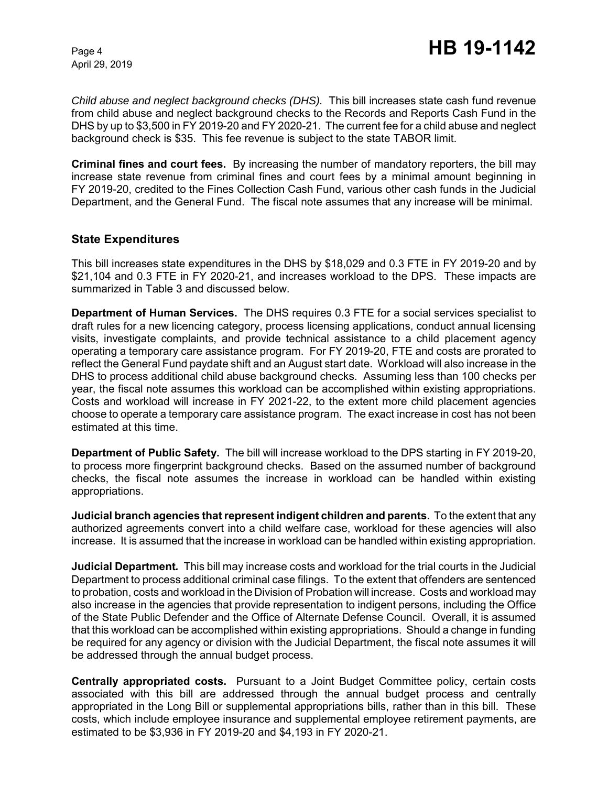*Child abuse and neglect background checks (DHS).* This bill increases state cash fund revenue from child abuse and neglect background checks to the Records and Reports Cash Fund in the DHS by up to \$3,500 in FY 2019-20 and FY 2020-21. The current fee for a child abuse and neglect background check is \$35. This fee revenue is subject to the state TABOR limit.

**Criminal fines and court fees.** By increasing the number of mandatory reporters, the bill may increase state revenue from criminal fines and court fees by a minimal amount beginning in FY 2019-20, credited to the Fines Collection Cash Fund, various other cash funds in the Judicial Department, and the General Fund. The fiscal note assumes that any increase will be minimal.

### **State Expenditures**

This bill increases state expenditures in the DHS by \$18,029 and 0.3 FTE in FY 2019-20 and by \$21,104 and 0.3 FTE in FY 2020-21, and increases workload to the DPS. These impacts are summarized in Table 3 and discussed below.

**Department of Human Services.** The DHS requires 0.3 FTE for a social services specialist to draft rules for a new licencing category, process licensing applications, conduct annual licensing visits, investigate complaints, and provide technical assistance to a child placement agency operating a temporary care assistance program. For FY 2019-20, FTE and costs are prorated to reflect the General Fund paydate shift and an August start date. Workload will also increase in the DHS to process additional child abuse background checks. Assuming less than 100 checks per year, the fiscal note assumes this workload can be accomplished within existing appropriations. Costs and workload will increase in FY 2021-22, to the extent more child placement agencies choose to operate a temporary care assistance program. The exact increase in cost has not been estimated at this time.

**Department of Public Safety.** The bill will increase workload to the DPS starting in FY 2019-20, to process more fingerprint background checks. Based on the assumed number of background checks, the fiscal note assumes the increase in workload can be handled within existing appropriations.

**Judicial branch agencies that represent indigent children and parents.** To the extent that any authorized agreements convert into a child welfare case, workload for these agencies will also increase. It is assumed that the increase in workload can be handled within existing appropriation.

**Judicial Department***.* This bill may increase costs and workload for the trial courts in the Judicial Department to process additional criminal case filings. To the extent that offenders are sentenced to probation, costs and workload in the Division of Probation will increase. Costs and workload may also increase in the agencies that provide representation to indigent persons, including the Office of the State Public Defender and the Office of Alternate Defense Council. Overall, it is assumed that this workload can be accomplished within existing appropriations. Should a change in funding be required for any agency or division with the Judicial Department, the fiscal note assumes it will be addressed through the annual budget process.

**Centrally appropriated costs.** Pursuant to a Joint Budget Committee policy, certain costs associated with this bill are addressed through the annual budget process and centrally appropriated in the Long Bill or supplemental appropriations bills, rather than in this bill. These costs, which include employee insurance and supplemental employee retirement payments, are estimated to be \$3,936 in FY 2019-20 and \$4,193 in FY 2020-21.